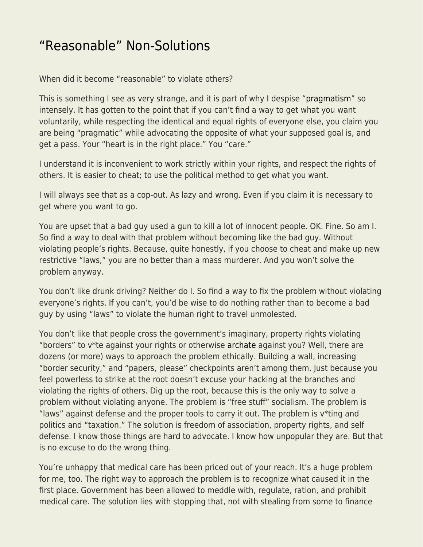## ["Reasonable" Non-Solutions](https://everything-voluntary.com/reasonable-non-solutions)

When did it become "reasonable" to violate others?

This is something I see as very strange, and it is part of why I despise ["pragmatism](http://blog.kentforliberty.com/2014/08/the-failure-that-is-pragmatism.html)" so intensely. It has gotten to the point that if you can't find a way to get what you want voluntarily, while respecting the identical and equal rights of everyone else, you claim you are being "pragmatic" while advocating the opposite of what your supposed goal is, and get a pass. Your "heart is in the right place." You "care."

I understand it is inconvenient to work strictly within your rights, and respect the rights of others. It is easier to cheat; to use the political method to get what you want.

I will always see that as a cop-out. As lazy and wrong. Even if you claim it is necessary to get where you want to go.

You are upset that a bad guy used a gun to kill a lot of innocent people. OK. Fine. So am I. So find a way to deal with that problem without becoming like the bad guy. Without violating people's rights. Because, quite honestly, if you choose to cheat and make up new restrictive "laws," you are no better than a mass murderer. And you won't solve the problem anyway.

You don't like drunk driving? Neither do I. So find a way to fix the problem without violating everyone's rights. If you can't, you'd be wise to do nothing rather than to become a bad guy by using "laws" to violate the human right to travel unmolested.

You don't like that people cross the government's imaginary, property rights violating "borders" to v\*te against your rights or otherwise [archate](http://blog.kentforliberty.com/2016/08/archate.html) against you? Well, there are dozens (or more) ways to approach the problem ethically. Building a wall, increasing "border security," and "papers, please" checkpoints aren't among them. Just because you feel powerless to strike at the root doesn't excuse your hacking at the branches and violating the rights of others. Dig up the root, because this is the only way to solve a problem without violating anyone. The problem is "free stuff" socialism. The problem is "laws" against defense and the proper tools to carry it out. The problem is  $v^*$ ting and politics and "taxation." The solution is freedom of association, property rights, and self defense. I know those things are hard to advocate. I know how unpopular they are. But that is no excuse to do the wrong thing.

You're unhappy that medical care has been priced out of your reach. It's a huge problem for me, too. The right way to approach the problem is to recognize what caused it in the first place. Government has been allowed to meddle with, regulate, ration, and prohibit medical care. The solution lies with stopping that, not with stealing from some to finance